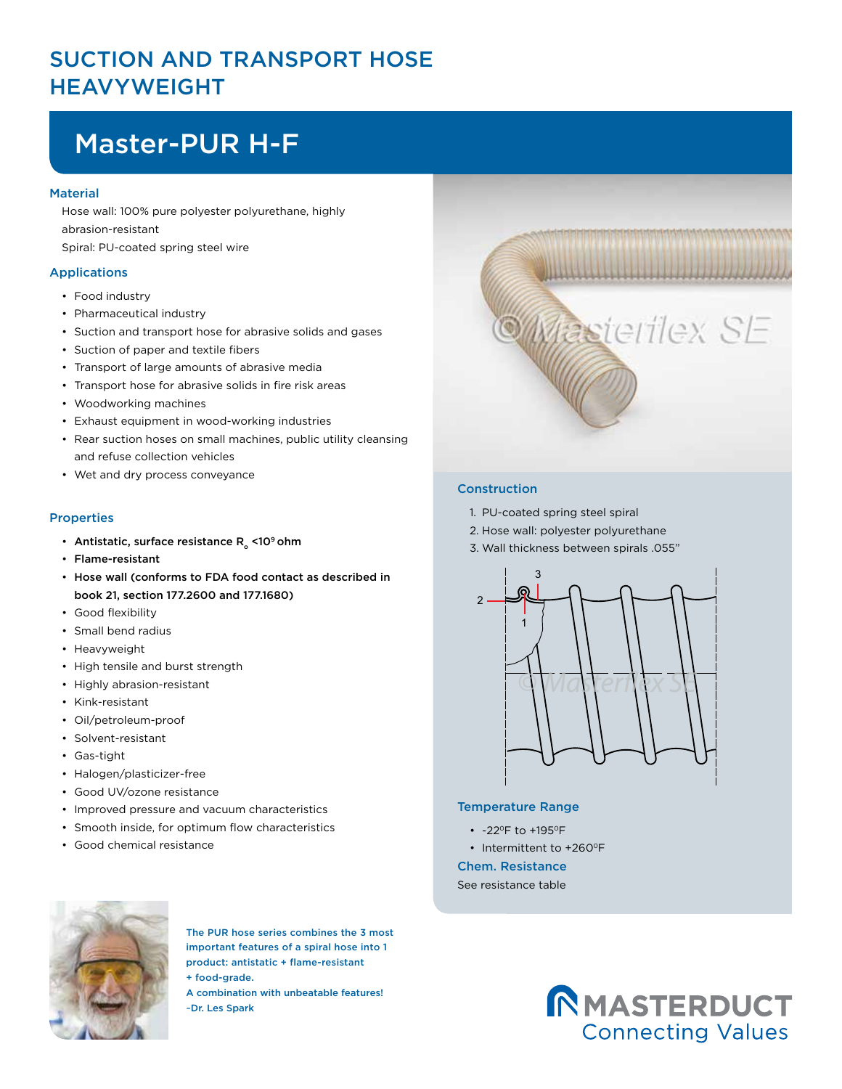### SUCTION AND TRANSPORT HOSE HEAVYWEIGHT

# Master-PUR H-F

#### **Material**

Hose wall: 100% pure polyester polyurethane, highly abrasion-resistant Spiral: PU-coated spring steel wire

#### Applications

- Food industry
- Pharmaceutical industry
- Suction and transport hose for abrasive solids and gases
- Suction of paper and textile fibers
- Transport of large amounts of abrasive media
- Transport hose for abrasive solids in fire risk areas
- Woodworking machines
- Exhaust equipment in wood-working industries
- Rear suction hoses on small machines, public utility cleansing and refuse collection vehicles
- Wet and dry process conveyance

#### **Properties**

- Antistatic, surface resistance  $R_{\alpha}$  <10<sup>9</sup> ohm
- Flame-resistant
- Hose wall (conforms to FDA food contact as described in book 21, section 177.2600 and 177.1680)
- Good flexibility
- Small bend radius
- Heavyweight
- High tensile and burst strength
- Highly abrasion-resistant
- Kink-resistant
- Oil/petroleum-proof
- Solvent-resistant
- Gas-tight
- Halogen/plasticizer-free
- Good UV/ozone resistance
- Improved pressure and vacuum characteristics
- Smooth inside, for optimum flow characteristics
- Good chemical resistance



#### Construction

- 1. PU-coated spring steel spiral
- 2. Hose wall: polyester polyurethane
- 3. Wall thickness between spirals .055"



#### Temperature Range

- -22°F to +195°F
- Intermittent to +260°F

Chem. Resistance

See resistance table



The PUR hose series combines the 3 most important features of a spiral hose into 1 product: antistatic + flame-resistant + food-grade.

A combination with unbeatable features! ~Dr. Les Spark